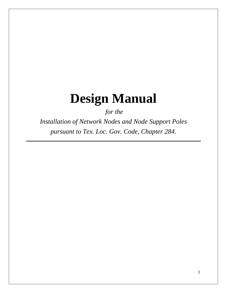# **Design Manual**

*for the* 

*Installation of Network Nodes and Node Support Poles pursuant to Tex. Loc. Gov. Code, Chapter 284.*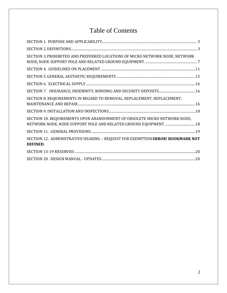# Table of Contents

| SECTION 3. PROHIBITED AND PREFERRED LOCATIONS OF MICRO NETWORK NODE, NETWORK               |  |
|--------------------------------------------------------------------------------------------|--|
|                                                                                            |  |
|                                                                                            |  |
|                                                                                            |  |
|                                                                                            |  |
| SECTION 8. REQUIREMENTS IN REGARD TO REMOVAL, REPLACEMENT, REPLACEMENT,                    |  |
|                                                                                            |  |
| SECTION 10. REQUIREMENTS UPON ABANDONMENT OF OBSOLETE MICRO NETWORK NODE,                  |  |
|                                                                                            |  |
| SECTION 12. ADMINISTRATIVE HEARING - REQUEST FOR EXEMPTION ERROR! BOOKMARK NOT<br>DEFINED. |  |
|                                                                                            |  |
|                                                                                            |  |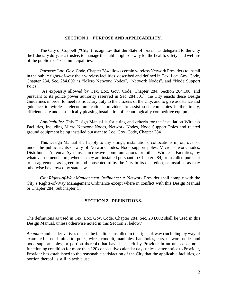#### **SECTION 1. PURPOSE AND APPLICABILITY.**

<span id="page-2-0"></span>The City of Coppell ("City") recognizes that the State of Texas has delegated to the City the fiduciary duty, as a trustee, to manage the public right-of-way for the health, safety, and welfare of the public to Texas municipalities.

*Purpose:* Loc. Gov. Code, Chapter 284 allows certain wireless Network Providers to install in the public rights-of-way their wireless facilities, described and defined in Tex. Loc. Gov. Code, Chapter 284, Sec. 284.002 as "Micro Network Nodes", "Network Nodes", and "Node Support Poles".

 As expressly allowed by Tex. Loc. Gov. Code, Chapter 284, Section 284.108, and pursuant to its police power authority reserved in Sec.  $284.301<sup>1</sup>$ , the City enacts these Design Guidelines in order to meet its fiduciary duty to the citizens of the City, and to give assistance and guidance to wireless telecommunications providers to assist such companies in the timely, efficient, safe and aesthetically pleasing installation of technologically competitive equipment.

*Applicability*: This Design Manual is for siting and criteria for the installation Wireless Facilities, including Micro Network Nodes, Network Nodes, Node Support Poles and related ground equipment being installed pursuant to Loc. Gov. Code, Chapter 284

This Design Manual shall apply to any sitings, installations, collocations in, on, over or under the public rights-of-way of Network nodes, Node support poles, Micro network nodes, Distributed Antenna Systems, microwave communications or other Wireless Facilities, by whatever nomenclature, whether they are installed pursuant to Chapter 284, or installed pursuant to an agreement as agreed to and consented to by the City in its discretion, or installed as may otherwise be allowed by state law.

<span id="page-2-1"></span>*City Rights-of-Way Management Ordinance:* A Network Provider shall comply with the City's Rights-of-Way Management Ordinance except where in conflict with this Design Manual or Chapter 284, Subchapter C.

#### **SECTION 2. DEFINITIONS.**

The definitions as used in Tex. Loc. Gov. Code, Chapter 284, Sec. 284.002 shall be used in this Design Manual, unless otherwise noted in this Section 2, below.<sup>2</sup>

*Abandon* and its derivatives means the facilities installed in the right-of-way (including by way of example but not limited to: poles, wires, conduit, manholes, handholes, cuts, network nodes and node support poles, or portion thereof) that have been left by Provider in an unused or nonfunctioning condition for more than 120 consecutive calendar days unless, after notice to Provider, Provider has established to the reasonable satisfaction of the City that the applicable facilities, or portion thereof, is still in active use.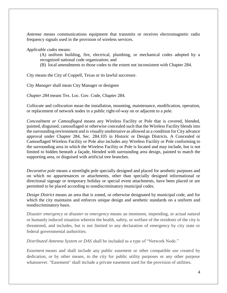*Antenna* means communications equipment that transmits or receives electromagnetic radio frequency signals used in the provision of wireless services.

*Applicable codes* means:

- (A) uniform building, fire, electrical, plumbing, or mechanical codes adopted by a recognized national code organization; and
- (B) local amendments to those codes to the extent not inconsistent with Chapter 284.

*City* means the City of Coppell, Texas or its lawful successor.

*City Manager* shall mean City Manager or designee

*Chapter 284* means Tex. Loc. Gov. Code, Chapter 284.

*Collocate* and c*ollocation* mean the installation, mounting, maintenance, modification, operation, or replacement of network nodes in a public right-of-way on or adjacent to a pole.

*Concealment or Camouflaged* means any Wireless Facility or Pole that is covered, blended, painted, disguised, camouflaged or otherwise concealed such that the Wireless Facility blends into the surrounding environment and is visually unobtrusive as allowed as a condition for City advance approval under Chapter 284, Sec. 284.105 in Historic or Design Districts. A Concealed or Camouflaged Wireless Facility or Pole also includes any Wireless Facility or Pole conforming to the surrounding area in which the Wireless Facility or Pole is located and may include, but is not limited to hidden beneath a façade, blended with surrounding area design, painted to match the supporting area, or disguised with artificial tree branches.

*Decorative pole* means a streetlight pole specially designed and placed for aesthetic purposes and on which no appurtenances or attachments, other than specially designed informational or directional signage or temporary holiday or special event attachments, have been placed or are permitted to be placed according to nondiscriminatory municipal codes.

*Design District* means an area that is zoned, or otherwise designated by municipal code, and for which the city maintains and enforces unique design and aesthetic standards on a uniform and nondiscriminatory basis.

*Disaster emergency* or *disaster* or *emergency* means an imminent, impending, or actual natural or humanly induced situation wherein the health, safety, or welfare of the residents of the city is threatened, and includes, but is not limited to any declaration of emergency by city state or federal governmental authorities.

*Distributed Antenna System or DAS* shall be included as a type of "Network Node."

*Easement* means and shall include any public easement or other compatible use created by dedication, or by other means, to the city for public utility purposes or any other purpose whatsoever. "Easement" shall include a private easement used for the provision of utilities.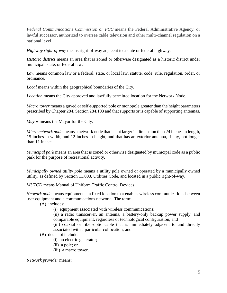*Federal Communications Commission or FCC* means the Federal Administrative Agency, or lawful successor, authorized to oversee cable television and other multi-channel regulation on a national level.

*Highway right-of-way* means right-of-way adjacent to a state or federal highway.

*Historic district* means an area that is zoned or otherwise designated as a historic district under municipal, state, or federal law.

*Law* means common law or a federal, state, or local law, statute, code, rule, regulation, order, or ordinance.

*Local* means within the geographical boundaries of the City.

*Location* means the City approved and lawfully permitted location for the Network Node*.*

*Macro tower* means a guyed or self-supported pole or monopole greater than the height parameters prescribed by Chapter 284, Section 284.103 and that supports or is capable of supporting antennas.

*Mayor* means the Mayor for the City.

*Micro network node* means a network node that is not larger in dimension than 24 inches in length, 15 inches in width, and 12 inches in height, and that has an exterior antenna, if any, not longer than 11 inches.

*Municipal park* means an area that is zoned or otherwise designated by municipal code as a public park for the purpose of recreational activity.

*Municipally owned utility pole* means a utility pole owned or operated by a municipally owned utility, as defined by Section 11.003, Utilities Code, and located in a public right-of-way.

*MUTCD* means Manual of Uniform Traffic Control Devices.

*Network node* means equipment at a fixed location that enables wireless communications between user equipment and a communications network. The term:

(A) includes:

(i) equipment associated with wireless communications;

(ii) a radio transceiver, an antenna, a battery-only backup power supply, and comparable equipment, regardless of technological configuration; and

(iii) coaxial or fiber-optic cable that is immediately adjacent to and directly associated with a particular collocation; and

# (B) does not include:

- (i) an electric generator;
- (ii) a pole; or
- (iii) a macro tower.

#### *Network provider* means: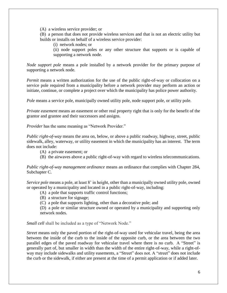(A) a wireless service provider; or

(B) a person that does not provide wireless services and that is not an electric utility but builds or installs on behalf of a wireless service provider:

(i) network nodes; or

(ii) node support poles or any other structure that supports or is capable of supporting a network node.

*Node support pole* means a pole installed by a network provider for the primary purpose of supporting a network node.

*Permit* means a written authorization for the use of the public right-of-way or collocation on a service pole required from a municipality before a network provider may perform an action or initiate, continue, or complete a project over which the municipality has police power authority.

*Pole* means a service pole, municipally owned utility pole, node support pole, or utility pole.

*Private easement* means an easement or other real property right that is only for the benefit of the grantor and grantee and their successors and assigns.

*Provider* has the same meaning as "Network Provider."

*Public right-of-way* means the area on, below, or above a public roadway, highway, street, public sidewalk, alley, waterway, or utility easement in which the municipality has an interest. The term does not include:

- (A) a private easement; or
- (B) the airwaves above a public right-of-way with regard to wireless telecommunications.

*Public right-of-way management ordinance* means an ordinance that complies with Chapter 284, Subchapter C.

*Service pole* means a pole, at least 8' in height, other than a municipally owned utility pole, owned or operated by a municipality and located in a public right-of-way, including:

- (A) a pole that supports traffic control functions;
- (B) a structure for signage;

(C) a pole that supports lighting, other than a decorative pole; and

(D) a pole or similar structure owned or operated by a municipality and supporting only network nodes.

*Small cell* shall be included as a type of "Network Node."

*Street* means only the paved portion of the right-of-way used for vehicular travel, being the area between the inside of the curb to the inside of the opposite curb, or the area between the two parallel edges of the paved roadway for vehicular travel where there is no curb. A "Street" is generally part of, but smaller in width than the width of the entire right-of-way, while a right-ofway may include sidewalks and utility easements, a "Street" does not. A "street" does not include the curb or the sidewalk, if either are present at the time of a permit application or if added later.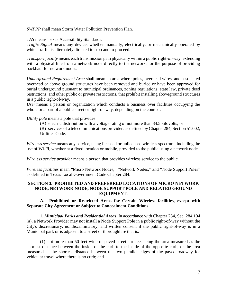*SWPPP* shall mean Storm Water Pollution Prevention Plan.

*TAS* means Texas Accessibility Standards.

*Traffic Signal* means any device, whether manually, electrically, or mechanically operated by which traffic is alternately directed to stop and to proceed.

*Transport facility* means each transmission path physically within a public right-of-way, extending with a physical line from a network node directly to the network, for the purpose of providing backhaul for network nodes.

*Underground Requirement Area* shall mean an area where poles, overhead wires, and associated overhead or above ground structures have been removed and buried or have been approved for burial underground pursuant to municipal ordinances, zoning regulations, state law, private deed restrictions, and other public or private restrictions, that prohibit installing aboveground structures in a public right-of-way.

*User* means a person or organization which conducts a business over facilities occupying the whole or a part of a public street or right-of-way, depending on the context.

*Utility pole* means a pole that provides:

(A) electric distribution with a voltage rating of not more than 34.5 kilovolts; or

(B) services of a telecommunications provider, as defined by Chapter 284, Section 51.002, Utilities Code.

*Wireless service* means any service, using licensed or unlicensed wireless spectrum, including the use of Wi-Fi, whether at a fixed location or mobile, provided to the public using a network node.

*Wireless service provider* means a person that provides wireless service to the public.

*Wireless facilities* mean "Micro Network Nodes," "Network Nodes," and "Node Support Poles" as defined in Texas Local Government Code Chapter 284.

# <span id="page-6-0"></span>**SECTION 3. PROHIBITED AND PREFERRED LOCATIONS OF MICRO NETWORK NODE, NETWORK NODE, NODE SUPPORT POLE AND RELATED GROUND EQUIPMENT.**

**A. Prohibited or Restricted Areas for Certain Wireless facilities, except with Separate City Agreement or Subject to Concealment Conditions.**

1. *Municipal Parks and Residential Areas*. In accordance with Chapter 284, Sec. 284.104 (a), a Network Provider may not install a Node Support Pole in a public right-of-way without the City's discretionary, nondiscriminatory, and written consent if the public right-of-way is in a Municipal park or is adjacent to a street or thoroughfare that is:

(1) not more than 50 feet wide of paved street surface, being the area measured as the shortest distance between the inside of the curb to the inside of the opposite curb, or the area measured as the shortest distance between the two parallel edges of the paved roadway for vehicular travel where there is no curb; and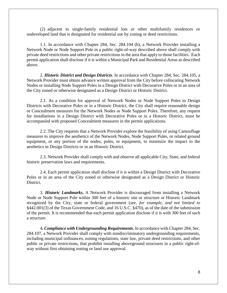(2) adjacent to single-family residential lots or other multifamily residences or undeveloped land that is designated for residential use by zoning or deed restrictions.

1.1. In accordance with Chapter 284, Sec. 284.104 (b), a Network Provider installing a Network Node or Node Support Pole in a public right-of-way described above shall comply with private deed restrictions and other private restrictions in the area that apply to those facilities. Each permit application shall disclose if it is within a Municipal Park and Residential Areas as described above.

2. *Historic District and Design Districts*. In accordance with Chapter 284, Sec. 284.105, a Network Provider must obtain advance written approval from the City before collocating Network Nodes or installing Node Support Poles in a Design District with Decorative Poles or in an area of the City zoned or otherwise designated as a Design District or Historic District.

2.1. As a condition for approval of Network Nodes or Node Support Poles in Design Districts with Decorative Poles or in a Historic District, the City shall require reasonable design or Concealment measures for the Network Nodes or Node Support Poles. Therefore, any request for installations in a Design District with Decorative Poles or in a Historic District, must be accompanied with proposed Concealment measures in the permit applications.

2.2. The City requests that a Network Provider explore the feasibility of using Camouflage measures to improve the aesthetics of the Network Nodes, Node Support Poles, or related ground equipment, or any portion of the nodes, poles, or equipment, to minimize the impact to the aesthetics in Design Districts or in an Historic District.

2.3. Network Provider shall comply with and observe all applicable City, State, and federal historic preservation laws and requirements.

2.4. Each permit application shall disclose if it is within a Design District with Decorative Poles or in an area of the City zoned or otherwise designated as a Design District or Historic District.

3. *Historic Landmarks***.** A Network Provider is discouraged from installing a Network Node or Node Support Pole within 300 feet of a historic site or structure or Historic Landmark recognized by the City, state or federal government (*see, for example, and not limited to*  §442.001(3) of the Texas Government Code, and 16 U.S.C. §470), as of the date of the submission of the permit. It is recommended that each permit application disclose if it is with 300 feet of such a structure.

4*. Compliance with Undergrounding Requirements***.** In accordance with Chapter 284, Sec. 284.107, a Network Provider shall comply with nondiscriminatory undergrounding requirements, including municipal ordinances, zoning regulations, state law, private deed restrictions, and other public or private restrictions, that prohibit installing aboveground structures in a public right-ofway without first obtaining zoning or land use approval.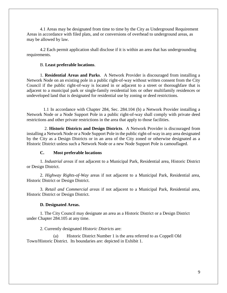4.1 Areas may be designated from time to time by the City as Underground Requirement Areas in accordance with filed plats, and or conversions of overhead to underground areas, as may be allowed by law.

4.2 Each permit application shall disclose if it is within an area that has undergrounding requirements.

# B. **Least preferable locations**.

1. **Residential Areas and Parks**. A Network Provider is discouraged from installing a Network Node on an existing pole in a public right-of-way without written consent from the City Council if the public right-of-way is located in or adjacent to a street or thoroughfare that is adjacent to a municipal park or single-family residential lots or other multifamily residences or undeveloped land that is designated for residential use by zoning or deed restrictions.

 1.1 In accordance with Chapter 284, Sec. 284.104 (b) a Network Provider installing a Network Node or a Node Support Pole in a public right-of-way shall comply with private deed restrictions and other private restrictions in the area that apply to those facilities.

 2. **Historic Districts and Design Districts**. A Network Provider is discouraged from installing a Network Node or a Node Support Pole in the public right-of-way in any area designated by the City as a Design Districts or in an area of the City zoned or otherwise designated as a Historic District unless such a Network Node or a new Node Support Pole is camouflaged.

# **C. Most preferable locations**

1. *Industrial areas* if not adjacent to a Municipal Park, Residential area, Historic District or Design District.

2. *Highway Rights-of-Way* areas if not adjacent to a Municipal Park, Residential area, Historic District or Design District.

3. *Retail and Commercial areas* if not adjacent to a Municipal Park, Residential area, Historic District or Design District.

#### **D. Designated Areas.**

1. The City Council may designate an area as a Historic District or a Design District under Chapter 284.105 at any time.

#### 2. Currently designated *Historic Districts* are:

(a) Historic District Number 1 is the area referred to as Coppell Old Town/Historic District. Its boundaries are: depicted in Exhibit 1.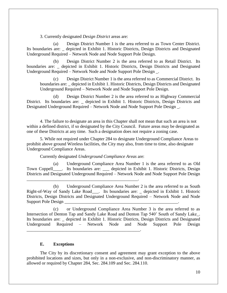3. Currently designated *Design District* areas are:

(a) Design District Number 1 is the area referred to as Town Center District. Its boundaries are: \_ depicted in Exhibit 1. Historic Districts, Design Districts and Designated Underground Required – Network Node and Node Support Pole Design.

(b) Design District Number 2 is the area referred to as Retail District. Its boundaries are: \_ depicted in Exhibit 1. Historic Districts, Design Districts and Designated Underground Required – Network Node and Node Support Pole Design \_.

(c) Design District Number 1 is the area referred to as Commercial District. Its boundaries are: \_ depicted in Exhibit 1. Historic Districts, Design Districts and Designated Underground Required – Network Node and Node Support Pole Design.

(d) Design District Number 2 is the area referred to as Highway Commercial District. Its boundaries are: \_ depicted in Exhibit 1. Historic Districts, Design Districts and Designated Underground Required – Network Node and Node Support Pole Design \_.

4. The failure to designate an area in this Chapter shall not mean that such an area is not within a defined district, if so designated by the City Council. Future areas may be designated as one of these Districts at any time. Such a designation does not require a zoning case.

5. While not required under Chapter 284 to designate Underground Compliance Areas to prohibit above ground Wireless facilities, the City may also, from time to time, also designate Underground Compliance Areas.

Currently designated *Underground Compliance Areas* are:

\_\_\_\_\_\_\_\_\_\_\_\_\_\_\_\_\_\_\_\_\_\_\_\_\_\_\_\_\_\_\_\_\_\_\_\_\_\_\_\_\_\_\_\_\_\_\_\_\_\_.

\_\_\_\_\_\_\_\_\_\_\_\_\_\_\_\_\_\_\_\_\_\_\_\_\_\_\_\_\_\_\_\_\_\_\_\_\_\_\_\_\_\_\_\_\_\_\_\_\_\_\_.

(a) Underground Compliance Area Number 1 is the area referred to as Old Town Coppell\_\_\_\_. Its boundaries are: \_\_\_ depicted in Exhibit 1. Historic Districts, Design Districts and Designated Underground Required – Network Node and Node Support Pole Design

(b) Underground Compliance Area Number 2 is the area referred to as South Right-of-Way of Sandy Lake Road\_\_\_. Its boundaries are: \_ depicted in Exhibit 1. Historic Districts, Design Districts and Designated Underground Required – Network Node and Node Support Pole Design

(c) or Underground Compliance Area Number 3 is the area referred to as Intersection of Denton Tap and Sandy Lake Road and Denton Tap 540' South of Sandy Lake\_. Its boundaries are: \_ depicted in Exhibit 1. Historic Districts, Design Districts and Designated Underground Required – Network Node and Node Support Pole Design

# **E. Exceptions**

The City by its discretionary consent and agreement may grant exception to the above prohibited locations and sizes, but only in a non-exclusive, and non-discriminatory manner, as allowed or required by Chapter 284, Sec. 284.109 and Sec. 284.110.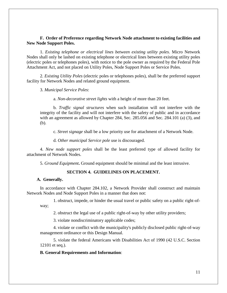# **F. Order of Preference regarding Network Node attachment to existing facilities and New Node Support Poles.**

1. *Existing telephone or electrical lines between existing utility poles*. Micro Network Nodes shall only be lashed on existing telephone or electrical lines between existing utility poles (electric poles or telephones poles), with notice to the pole owner as required by the Federal Pole Attachment Act, and not placed on Utility Poles, Node Support Poles or Service Poles.

2. *Existing Utility Poles* (electric poles or telephones poles), shall be the preferred support facility for Network Nodes and related ground equipment.

3. *Municipal Service Poles*:

a. *Non-decorative street lights* with a height of more than 20 feet.

b. *Traffic signal structures* when such installation will not interfere with the integrity of the facility and will not interfere with the safety of public and in accordance with an agreement as allowed by Chapter 284, Sec. 285.056 and Sec. 284.101 (a) (3), and (b).

c. *Street signage* shall be a low priority use for attachment of a Network Node.

d. *Other municipal Service pole* use is discouraged.

4. *New node support poles* shall be the least preferred type of allowed facility for attachment of Network Nodes.

5. *Ground Equipment***.** Ground equipment should be minimal and the least intrusive.

# **SECTION 4. GUIDELINES ON PLACEMENT.**

#### <span id="page-10-0"></span>**A. Generally.**

In accordance with Chapter 284.102, a Network Provider shall construct and maintain Network Nodes and Node Support Poles in a manner that does not:

1. obstruct, impede, or hinder the usual travel or public safety on a public right-ofway;

2. obstruct the legal use of a public right-of-way by other utility providers;

3. violate nondiscriminatory applicable codes;

4. violate or conflict with the municipality's publicly disclosed public right-of-way management ordinance or this Design Manual.

5. violate the federal Americans with Disabilities Act of 1990 (42 U.S.C. Section 12101 et seq.).

# **B. General Requirements and Information**: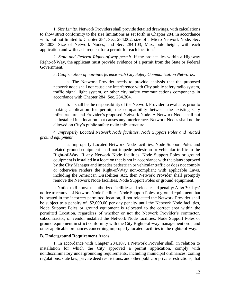1. *Size Limits.* Network Providers shall provide detailed drawings, with calculations to show strict conformity to the size limitations as set forth in Chapter 284, in accordance with, but not limited to Chapter 284, Sec. 284.002, size of a Micro Network Node, Sec. 284.003, Size of Network Nodes, and Sec. 284.103, Max. pole height, with each application and with each request for a permit for each location.<sup>3</sup>

2. *State and Federal Rights-of-way permit*. If the project lies within a Highway Right-of-Way, the applicant must provide evidence of a permit from the State or Federal Government.

#### 3. *Confirmation of non-interference with City Safety Communication Networks*.

a. The Network Provider needs to provide analysis that the proposed network node shall not cause any interference with City public safety radio system, traffic signal light system, or other city safety communications components in accordance with Chapter 284, Sec. 284.304.

b. It shall be the responsibility of the Network Provider to evaluate, prior to making application for permit, the compatibility between the existing City infrastructure and Provider's proposed Network Node. A Network Node shall not be installed in a location that causes any interference. Network Nodes shall not be allowed on City's public safety radio infrastructure.

4*. Improperly Located Network Node facilities, Node Support Poles and related ground equipment*:

a. Improperly Located Network Node facilities, Node Support Poles and related ground equipment shall not impede pedestrian or vehicular traffic in the Right-of-Way. If any Network Node facilities, Node Support Poles or ground equipment is installed in a location that is not in accordance with the plans approved by the City Manager and impedes pedestrian or vehicular traffic or does not comply or otherwise renders the Right-of-Way non-compliant with applicable Laws, including the American Disabilities Act, then Network Provider shall promptly remove the Network Node facilities, Node Support Poles or ground equipment.

b. Notice to Remove unauthorized facilities and relocate and penalty: After 30 days' notice to remove of Network Node facilities, Node Support Poles or ground equipment that is located in the incorrect permitted location, if not relocated the Network Provider shall be subject to a penalty of \$2,000.00 per day penalty until the Network Node facilities, Node Support Poles or ground equipment is relocated to the correct area within the permitted Location, regardless of whether or not the Network Provider's contractor, subcontractor, or vendor installed the Network Node facilities, Node Support Poles or ground equipment in strict conformity with the City Rights-of-way management ord., and other applicable ordnances concerning improperly located facilities in the rights-of-way.

#### **B. Underground Requirement Areas.**

1. In accordance with Chapter 284.107, a Network Provider shall, in relation to installation for which the City approved a permit application, comply with nondiscriminatory undergrounding requirements, including municipal ordinances, zoning regulations, state law, private deed restrictions, and other public or private restrictions, that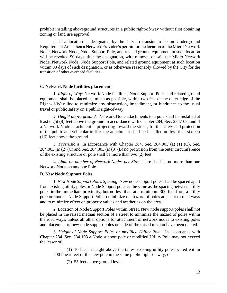prohibit installing aboveground structures in a public right-of-way without first obtaining zoning or land use approval.

2. If a location is designated by the City to transits to be an Underground Requirement Area, then a Network Provider's permit for the location of the Micro Network Node, Network Node, Node Support Pole, and related ground equipment at such location will be revoked 90 days after the designation, with removal of said the Micro Network Node, Network Node, Node Support Pole, and related ground equipment at such location within 90 days of such designation, or as otherwise reasonably allowed by the City for the transition of other overhead facilities.

#### **C. Network Node facilities placement***:*

1. *Right-of-Way:* Network Node facilities, Node Support Poles and related ground equipment shall be placed, as much as possible, within two feet of the outer edge of the Right-of-Way line to minimize any obstruction, impediment, or hindrance to the usual travel or public safety on a public right-of-way.

2. *Height above ground.* Network Node attachments to a pole shall be installed at least eight (8) feet above the ground in accordance with Chapter 284, Sec. 284.108, and if a Network Node attachment is projecting toward the street, for the safety and protection of the public and vehicular traffic, the attachment shall be installed no less than sixteen (16) feet above the ground.

3. *Protrusions.* In accordance with Chapter 284, Sec. 284.003 (a) (1) (C), Sec. 284.003 (a) (2) (C) and Sec. 284.003 (a) (3) (B) no protrusion from the outer circumference of the existing structure or pole shall be more than two (2) feet.

4. *Limit on number of Network Nodes per Site*. There shall be no more than one Network Node on any one Pole.

#### **D. New Node Support Poles***.*

1. *New Node Support Poles Spacing.* New node support poles shall be spaced apart from existing utility poles or Node Support poles at the same as the spacing between utility poles in the immediate proximity, but no less than at a minimum 300 feet from a utility pole or another Node Support Pole to minimize the hazard of poles adjacent to road ways and to minimize effect on property values and aesthetics on the area.

2. Location of Node Support Poles within Street. New node support poles shall not be placed in the raised median section of a street to minimize the hazard of poles within the road ways, unless all other options for attachment of network nodes to existing poles and placement of new node support poles outside of the raised median have been denied.

3. *Height of Node Support Poles or modified Utility Pole*. In accordance with Chapter 284, Sec. 284.103 a Node support pole or modified Utility Pole may not exceed the lesser of:

(1) 10 feet in height above the tallest existing utility pole located within 500 linear feet of the new pole in the same public right-of-way; or

(2) 55 feet above ground level.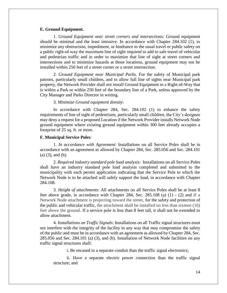#### **E. Ground Equipment.**

1. *Ground Equipment near street corners and intersections:* Ground equipment should be minimal and the least intrusive. In accordance with Chapter 284.102 (1), to minimize any obstruction, impediment, or hindrance to the usual travel or public safety on a public right-of-way the maximum line of sight required to add to safe travel of vehicular and pedestrian traffic and in order to maximize that line of sight at street corners and intersections and to minimize hazards at those locations, ground equipment may not be installed within 250 feet of a street corner or a street intersection.

2. *Ground Equipment near Municipal Parks.* For the safety of Municipal park patrons, particularly small children, and to allow full line of sights near Municipal park property, the Network Provider shall not install Ground Equipment in a Right-of-Way that is within a Park or within 250 feet of the boundary line of a Park, unless approved by the City Manager and Parks Director in writing.

#### 3. *Minimize Ground equipment density*:

In accordance with Chapter 284, Sec. 284.102 (1) to enhance the safety requirements of line of sight of pedestrians, particularly small children, the City's designee may deny a request for a proposed Location if the Network Provider installs Network Node ground equipment where existing ground equipment within 300 feet already occupies a footprint of 25 sq. ft. or more.

#### **F. Municipal Service Poles**:

1. *In accordance with Agreement*: Installations on all Service Poles shall be in accordance with an agreement as allowed by Chapter 284, Sec. 285.056 and Sec. 284.101 (a) (3), and (b).

2. *Required industry standard pole load analysis*: Installations on all Service Poles shall have an industry standard pole load analysis completed and submitted to the municipality with each permit application indicating that the Service Pole to which the Network Node is to be attached will safely support the load, in accordance with Chapter 284.108.

3. *Height of attachments*: All attachments on all Service Poles shall be at least 8 feet above grade, in accordance with Chapter 284, Sec. 285.108 (a) (1) - (2) and if a Network Node attachment is projecting toward the street, for the safety and protection of the public and vehicular traffic, the attachment shall be installed no less than sixteen (16) feet above the ground. If a service pole is less than 8 feet tall, it shall not be extended to allow attachment.

4. *Installations on Traffic Signals*: Installations on all Traffic signal structures must not interfere with the integrity of the facility in any way that may compromise the safety of the public and must be in accordance with an agreement as allowed by Chapter 284, Sec. 285.056 and Sec. 284.101 (a) (3), and (b). Installation of Network Node facilities on any traffic signal structures shall:

i. Be encased in a separate conduit than the traffic signal electronics;

ii. Have a separate electric power connection than the traffic signal structure; and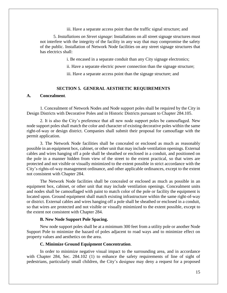iii. Have a separate access point than the traffic signal structure; and

5. *Installations on Street signage*: Installations on all street signage structures must not interfere with the integrity of the facility in any way that may compromise the safety of the public. Installation of Network Node facilities on any street signage structures that has electrics shall:

i. Be encased in a separate conduit than any City signage electronics;

ii. Have a separate electric power connection than the signage structure;

iii. Have a separate access point than the signage structure; and

## **SECTION 5. GENERAL AESTHETIC REQUIREMENTS**

# <span id="page-14-0"></span>**A. Concealment**.

1. Concealment of Network Nodes and Node support poles shall be required by the City in Design Districts with Decorative Poles and in Historic Districts pursuant to Chapter 284.105.

2. It is also the City's preference that all new node support poles be camouflaged. New node support poles shall match the color and character of existing decorative poles within the same right-of-way or design district. Companies shall submit their proposal for camouflage with the permit application.

3. The Network Node facilities shall be concealed or enclosed as much as reasonably possible in an equipment box, cabinet, or other unit that may include ventilation openings. External cables and wires hanging off a pole shall be sheathed or enclosed in a conduit, and positioned on the pole in a manner hidden from view of the street to the extent practical, so that wires are protected and not visible or visually minimized to the extent possible in strict accordance with the City's rights-of-way management ordinance, and other applicable ordinances, except to the extent not consistent with Chapter 284.

The Network Node facilities shall be concealed or enclosed as much as possible in an equipment box, cabinet, or other unit that may include ventilation openings. Concealment units and nodes shall be camouflaged with paint to match color of the pole or facility the equipment is located upon. Ground equipment shall match existing infrastructure within the same right-of-way or district. External cables and wires hanging off a pole shall be sheathed or enclosed in a conduit, so that wires are protected and not visible or visually minimized to the extent possible, except to the extent not consistent with Chapter 284.

#### **B. New Node Support Pole Spacing.**

New node support poles shall be at a minimum 300 feet from a utility pole or another Node Support Pole to minimize the hazard of poles adjacent to road ways and to minimize effect on property values and aesthetics on the area.

#### **C. Minimize Ground Equipment Concentration**.

In order to minimize negative visual impact to the surrounding area, and in accordance with Chapter 284, Sec. 284.102 (1) to enhance the safety requirements of line of sight of pedestrians, particularly small children, the City's designee may deny a request for a proposed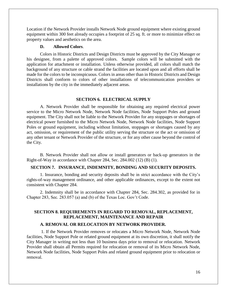Location if the Network Provider installs Network Node ground equipment where existing ground equipment within 300 feet already occupies a footprint of 25 sq. ft. or more to minimize effect on property values and aesthetics on the area.

#### **D. Allowed Colors**.

Colors in Historic Districts and Design Districts must be approved by the City Manager or his designee, from a palette of approved colors. Sample colors will be submitted with the application for attachment or installation. Unless otherwise provided, all colors shall match the background of any structure or cable strand the facilities are located upon and all efforts shall be made for the colors to be inconspicuous. Colors in areas other than in Historic Districts and Design Districts shall conform to colors of other installations of telecommunication providers or installations by the city in the immediately adjacent areas.

#### **SECTION 6. ELECTRICAL SUPPLY**

<span id="page-15-0"></span>A. Network Provider shall be responsible for obtaining any required electrical power service to the Micro Network Node, Network Node facilities, Node Support Poles and ground equipment. The City shall not be liable to the Network Provider for any stoppages or shortages of electrical power furnished to the Micro Network Node, Network Node facilities, Node Support Poles or ground equipment, including without limitation, stoppages or shortages caused by any act, omission, or requirement of the public utility serving the structure or the act or omission of any other tenant or Network Provider of the structure, or for any other cause beyond the control of the City.

B. Network Provider shall not allow or install generators or back-up generators in the Right-of-Way in accordance with Chapter 284, Sec. 284.002 (12) (B) (1).

#### <span id="page-15-1"></span>**SECTION 7. INSURANCE, INDEMNITY, BONDING AND SECURITY DEPOSITS.**

1. Insurance, bonding and security deposits shall be in strict accordance with the City's rights-of-way management ordinance, and other applicable ordinances, except to the extent not consistent with Chapter 284.

<span id="page-15-2"></span>2. Indemnity shall be in accordance with Chapter 284, Sec. 284.302, as provided for in Chapter 283, Sec. 283.057 (a) and (b) of the Texas Loc. Gov't Code.

# **SECTION 8. REQUIREMENTS IN REGARD TO REMOVAL, REPLACEMENT, REPLACEMENT, MAINTENANCE AND REPAIR**

#### **A. REMOVAL OR RELOCATION BY NETWORK PROVIDER.**

1. If the Network Provider removes or relocates a Micro Network Node, Network Node facilities, Node Support Pole or related ground equipment at its own discretion, it shall notify the City Manager in writing not less than 10 business days prior to removal or relocation. Network Provider shall obtain all Permits required for relocation or removal of its Micro Network Node, Network Node facilities, Node Support Poles and related ground equipment prior to relocation or removal.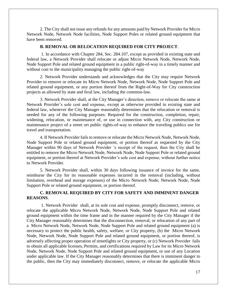2. The City shall not issue any refunds for any amounts paid by Network Provider for Micro Network Node, Network Node facilities, Node Support Poles or related ground equipment that have been removed.

# **B. REMOVAL OR RELOCATION REQUIRED FOR CITY PROJECT**.

1. In accordance with Chapter 284, Sec. 284.107, except as provided in existing state and federal law, a Network Provider shall relocate or adjust Micro Network Node, Network Node, Node Support Pole and related ground equipment in a public right-of-way in a timely manner and without cost to the municipality managing the public right-of-way

2. Network Provider understands and acknowledges that the City may require Network Provider to remove or relocate its Micro Network Node, Network Node, Node Support Pole and related ground equipment, or any portion thereof from the Right-of-Way for City construction projects as allowed by state and feral law, including the common-law.

3. Network Provider shall, at the City Manager's direction, remove or relocate the same at Network Provider's sole cost and expense, except as otherwise provided in existing state and federal law, whenever the City Manager reasonably determines that the relocation or removal is needed for any of the following purposes: Required for the construction, completion, repair, widening, relocation, or maintenance of, or use in connection with, any City construction or maintenance project of a street ort public rights-of-way to enhance the traveling publics use for travel and transportation.

4. If Network Provider fails to remove or relocate the Micro Network Node, Network Node, Node Support Pole or related ground equipment, or portion thereof as requested by the City Manager within 90 days of Network Provider 's receipt of the request, then the City shall be entitled to remove the Micro Network Node, Network Node, Node Support Pole or related ground equipment, or portion thereof at Network Provider's sole cost and expense, without further notice to Network Provider.

5. Network Provider shall, within 30 days following issuance of invoice for the same, reimburse the City for its reasonable expenses incurred in the removal (including, without limitation, overhead and storage expenses) of the Micro Network Node, Network Node, Node Support Pole or related ground equipment, or portion thereof.

# **C. REMOVAL REQUIRED BY CITY FOR SAFETY AND IMMINENT DANGER REASONS**.

1. Network Provider shall, at its sole cost and expense, promptly disconnect, remove, or relocate the applicable Micro Network Node, Network Node, Node Support Pole and related ground equipment within the time frame and in the manner required by the City Manager if the City Manager reasonably determines that the disconnection, removal, or relocation of any part of a Micro Network Node, Network Node, Node Support Pole and related ground equipment (a) is necessary to protect the public health, safety, welfare, or City property, (b) the Micro Network Node, Network Node, Node Support Pole and related ground equipment, or portion thereof, is adversely affecting proper operation of streetlights or City property, or (c) Network Provider fails to obtain all applicable licenses, Permits, and certifications required by Law for its Micro Network Node, Network Node, Node Support Pole and related ground equipment, or use of any Location under applicable law. If the City Manager reasonably determines that there is imminent danger to the public, then the City may immediately disconnect, remove, or relocate the applicable Micro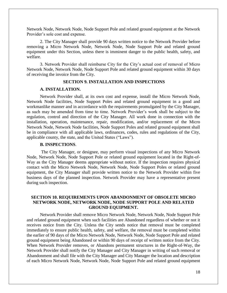Network Node, Network Node, Node Support Pole and related ground equipment at the Network Provider's sole cost and expense.

2. The City Manager shall provide 90 days written notice to the Network Provider before removing a Micro Network Node, Network Node, Node Support Pole and related ground equipment under this Section, unless there is imminent danger to the public health, safety, and welfare.

3. Network Provider shall reimburse City for the City's actual cost of removal of Micro Network Node, Network Node, Node Support Pole and related ground equipment within 30 days of receiving the invoice from the City.

# <span id="page-17-0"></span>**SECTION 9. INSTALLATION AND INSPECTIONS**

#### **A. INSTALLATION.**

Network Provider shall, at its own cost and expense, install the Micro Network Node, Network Node facilities, Node Support Poles and related ground equipment in a good and workmanlike manner and in accordance with the requirements promulgated by the City Manager, as such may be amended from time to time. Network Provider's work shall be subject to the regulation, control and direction of the City Manager. All work done in connection with the installation, operation, maintenance, repair, modification, and/or replacement of the Micro Network Node, Network Node facilities, Node Support Poles and related ground equipment shall be in compliance with all applicable laws, ordinances, codes, rules and regulations of the City, applicable county, the state, and the United States ("Laws").

#### **B. INSPECTIONS**.

The City Manager, or designee, may perform visual inspections of any Micro Network Node, Network Node, Node Support Pole or related ground equipment located in the Right-of-Way as the City Manager deems appropriate without notice. If the inspection requires physical contact with the Micro Network Node, Network Node, Node Support Poles or related ground equipment, the City Manager shall provide written notice to the Network Provider within five business days of the planned inspection. Network Provider may have a representative present during such inspection.

# <span id="page-17-1"></span>**SECTION 10. REQUIREMENTS UPON ABANDONMENT OF OBSOLETE MICRO NETWORK NODE, NETWORK NODE, NODE SUPPORT POLE AND RELATED GROUND EQUIPMENT.**

Network Provider shall remove Micro Network Node, Network Node, Node Support Pole and related ground equipment when such facilities are Abandoned regardless of whether or not it receives notice from the City. Unless the City sends notice that removal must be completed immediately to ensure public health, safety, and welfare, the removal must be completed within the earlier of 90 days of the Micro Network Node, Network Node, Node Support Pole and related ground equipment being Abandoned or within 90 days of receipt of written notice from the City. When Network Provider removes, or Abandons permanent structures in the Right-of-Way, the Network Provider shall notify the City Manager and City Manager in writing of such removal or Abandonment and shall file with the City Manager and City Manager the location and description of each Micro Network Node, Network Node, Node Support Pole and related ground equipment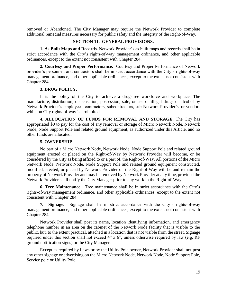removed or Abandoned. The City Manager may require the Network Provider to complete additional remedial measures necessary for public safety and the integrity of the Right-of-Way.

### **SECTION 11. GENERAL PROVISIONS.**

<span id="page-18-0"></span>**1. As Built Maps and Records.** Network Provider's as built maps and records shall be in strict accordance with the City's rights-of-way management ordinance, and other applicable ordinances, except to the extent not consistent with Chapter 284.

**2. Courtesy and Proper Performance.** Courtesy and Proper Performance of Network provider's personnel, and contractors shall be in strict accordance with the City's rights-of-way management ordinance, and other applicable ordinances, except to the extent not consistent with Chapter 284.

### **3. DRUG POLICY.**

It is the policy of the City to achieve a drug-free workforce and workplace. The manufacture, distribution, dispensation, possession, sale, or use of illegal drugs or alcohol by Network Provider's employees, contractors, subcontractors, sub-Network Provider's, or vendors while on City rights-of-way is prohibited.

**4. ALLOCATION OF FUNDS FOR REMOVAL AND STORAGE**. The City has appropriated \$0 to pay for the cost of any removal or storage of Micro Network Node, Network Node, Node Support Pole and related ground equipment, as authorized under this Article, and no other funds are allocated.

#### **5. OWNERSHIP**

No part of a Micro Network Node, Network Node, Node Support Pole and related ground equipment erected or placed on the Right-of-Way by Network Provider will become, or be considered by the City as being affixed to or a part of, the Right-of-Way. All portions of the Micro Network Node, Network Node, Node Support Pole and related ground equipment constructed, modified, erected, or placed by Network Provider on the Right-of-Way will be and remain the property of Network Provider and may be removed by Network Provider at any time, provided the Network Provider shall notify the City Manager prior to any work in the Right-of-Way.

**6. Tree Maintenance**. Tree maintenance shall be in strict accordance with the City's rights-of-way management ordinance, and other applicable ordinances, except to the extent not consistent with Chapter 284.

**7. Signage.** Signage shall be in strict accordance with the City's rights-of-way management ordinance, and other applicable ordinances, except to the extent not consistent with Chapter 284.

Network Provider shall post its name, location identifying information, and emergency telephone number in an area on the cabinet of the Network Node facility that is visible to the public, but, to the extent practical, attached in a location that is not visible from the street. Signage required under this section shall not exceed 4" x 6", unless otherwise required by law (e.g. RF ground notification signs) or the City Manager.

Except as required by Laws or by the Utility Pole owner, Network Provider shall not post any other signage or advertising on the Micro Network Node, Network Node, Node Support Pole, Service pole or Utility Pole.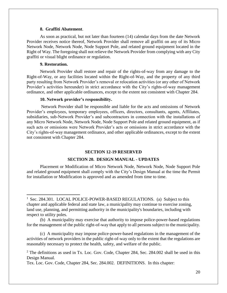#### **8. Graffiti Abatement**.

As soon as practical, but not later than fourteen (14) calendar days from the date Network Provider receives notice thereof, Network Provider shall remove all graffiti on any of its Micro Network Node, Network Node, Node Support Pole, and related ground equipment located in the Right of Way. The foregoing shall not relieve the Network Provider from complying with any City graffiti or visual blight ordinance or regulation.

#### **9. Restoration.**

 $\overline{\phantom{a}}$ 

Network Provider shall restore and repair of the rights-of-way from any damage to the Right-of-Way, or any facilities located within the Right-of-Way, and the property of any third party resulting from Network Provider's removal or relocation activities (or any other of Network Provider's activities hereunder) in strict accordance with the City's rights-of-way management ordinance, and other applicable ordinances, except to the extent not consistent with Chapter 284.

#### **10. Network provider's responsibility.**

Network Provider shall be responsible and liable for the acts and omissions of Network Provider's employees, temporary employees, officers, directors, consultants, agents, Affiliates, subsidiaries, sub-Network Provider's and subcontractors in connection with the installations of any Micro Network Node, Network Node, Node Support Pole and related ground equipment, as if such acts or omissions were Network Provider's acts or omissions in strict accordance with the City's rights-of-way management ordinance, and other applicable ordinances, except to the extent not consistent with Chapter 284.

#### **SECTION 12-19 RESERVED**

#### **SECTION 20. DESIGN MANUAL - UPDATES**

<span id="page-19-1"></span><span id="page-19-0"></span>Placement or Modification of Micro Network Node, Network Node, Node Support Pole and related ground equipment shall comply with the City's Design Manual at the time the Permit for installation or Modification is approved and as amended from time to time.

<sup>&</sup>lt;sup>1</sup> Sec. 284.301. LOCAL POLICE-POWER-BASED REGULATIONS. (a) Subject to this chapter and applicable federal and state law, a municipality may continue to exercise zoning, land use, planning, and permitting authority in the municipality's boundaries, including with respect to utility poles.

<sup>(</sup>b) A municipality may exercise that authority to impose police-power-based regulations for the management of the public right-of-way that apply to all persons subject to the municipality.

<sup>(</sup>c) A municipality may impose police-power-based regulations in the management of the activities of network providers in the public right-of-way only to the extent that the regulations are reasonably necessary to protect the health, safety, and welfare of the public.

 $2$  The definitions as used in Tx. Loc. Gov. Code, Chapter 284, Sec. 284.002 shall be used in this Design Manual.

Tex. Loc. Gov. Code, Chapter 284, Sec. 284.002. DEFINITIONS. In this chapter: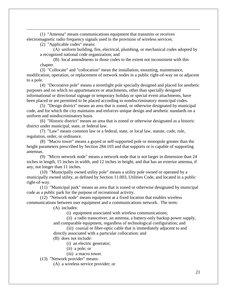(1) "Antenna" means communications equipment that transmits or receives electromagnetic radio frequency signals used in the provision of wireless services.

(2) "Applicable codes" means:

 $\overline{\phantom{a}}$ 

(A) uniform building, fire, electrical, plumbing, or mechanical codes adopted by a recognized national code organization; and

(B) local amendments to those codes to the extent not inconsistent with this chapter.

(3) "Collocate" and "collocation" mean the installation, mounting, maintenance, modification, operation, or replacement of network nodes in a public right-of-way on or adjacent to a pole.

(4) "Decorative pole" means a streetlight pole specially designed and placed for aesthetic purposes and on which no appurtenances or attachments, other than specially designed informational or directional signage or temporary holiday or special event attachments, have been placed or are permitted to be placed according to nondiscriminatory municipal codes.

(5) "Design district" means an area that is zoned, or otherwise designated by municipal code, and for which the city maintains and enforces unique design and aesthetic standards on a uniform and nondiscriminatory basis.

(6) "Historic district" means an area that is zoned or otherwise designated as a historic district under municipal, state, or federal law.

(7) "Law" means common law or a federal, state, or local law, statute, code, rule, regulation, order, or ordinance.

(8) "Macro tower" means a guyed or self-supported pole or monopole greater than the height parameters prescribed by Section 284.103 and that supports or is capable of supporting antennas.

(9) "Micro network node" means a network node that is not larger in dimension than 24 inches in length, 15 inches in width, and 12 inches in height, and that has an exterior antenna, if any, not longer than 11 inches.

(10) "Municipally owned utility pole" means a utility pole owned or operated by a municipally owned utility, as defined by Section 11.003, Utilities Code, and located in a public right-of-way.

(11) "Municipal park" means an area that is zoned or otherwise designated by municipal code as a public park for the purpose of recreational activity.

(12) "Network node" means equipment at a fixed location that enables wireless communications between user equipment and a communications network. The term:

(A) includes:

(i) equipment associated with wireless communications;

(ii) a radio transceiver, an antenna, a battery-only backup power supply, and comparable equipment, regardless of technological configuration; and

(iii) coaxial or fiber-optic cable that is immediately adjacent to and directly associated with a particular collocation; and

- (B) does not include:
	- (i) an electric generator;
	- (ii) a pole; or
	- (iii) a macro tower.

(13) "Network provider" means:

(A) a wireless service provider; or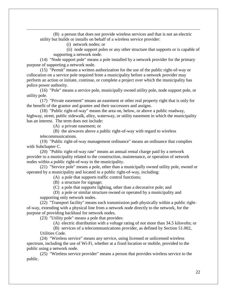(B) a person that does not provide wireless services and that is not an electric utility but builds or installs on behalf of a wireless service provider:

(i) network nodes; or

 $\overline{\phantom{a}}$ 

(ii) node support poles or any other structure that supports or is capable of supporting a network node.

(14) "Node support pole" means a pole installed by a network provider for the primary purpose of supporting a network node.

(15) "Permit" means a written authorization for the use of the public right-of-way or collocation on a service pole required from a municipality before a network provider may perform an action or initiate, continue, or complete a project over which the municipality has police power authority.

(16) "Pole" means a service pole, municipally owned utility pole, node support pole, or utility pole.

(17) "Private easement" means an easement or other real property right that is only for the benefit of the grantor and grantee and their successors and assigns.

(18) "Public right-of-way" means the area on, below, or above a public roadway, highway, street, public sidewalk, alley, waterway, or utility easement in which the municipality has an interest. The term does not include:

(A) a private easement; or

(B) the airwaves above a public right-of-way with regard to wireless telecommunications.

(19) "Public right-of-way management ordinance" means an ordinance that complies with Subchapter C.

(20) "Public right-of-way rate" means an annual rental charge paid by a network provider to a municipality related to the construction, maintenance, or operation of network nodes within a public right-of-way in the municipality.

(21) "Service pole" means a pole, other than a municipally owned utility pole, owned or operated by a municipality and located in a public right-of-way, including:

(A) a pole that supports traffic control functions;

(B) a structure for signage;

(C) a pole that supports lighting, other than a decorative pole; and

(D) a pole or similar structure owned or operated by a municipality and supporting only network nodes.

(22) "Transport facility" means each transmission path physically within a public rightof-way, extending with a physical line from a network node directly to the network, for the purpose of providing backhaul for network nodes.

(23) "Utility pole" means a pole that provides:

(A) electric distribution with a voltage rating of not more than 34.5 kilovolts; or

(B) services of a telecommunications provider, as defined by Section 51.002, Utilities Code.

(24) "Wireless service" means any service, using licensed or unlicensed wireless spectrum, including the use of Wi-Fi, whether at a fixed location or mobile, provided to the public using a network node.

(25) "Wireless service provider" means a person that provides wireless service to the public.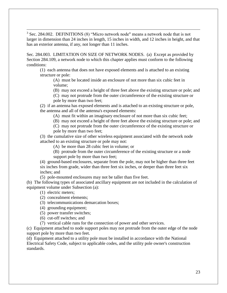$\overline{\phantom{a}}$ <sup>3</sup> Sec. 284.002. DEFINITIONS (8) "Micro network node" means a network node that is not larger in dimension than 24 inches in length, 15 inches in width, and 12 inches in height, and that has an exterior antenna, if any, not longer than 11 inches.

Sec. 284.003. LIMITATION ON SIZE OF NETWORK NODES. (a) Except as provided by Section 284.109, a network node to which this chapter applies must conform to the following conditions:

(1) each antenna that does not have exposed elements and is attached to an existing structure or pole:

(A) must be located inside an enclosure of not more than six cubic feet in volume;

(B) may not exceed a height of three feet above the existing structure or pole; and

(C) may not protrude from the outer circumference of the existing structure or pole by more than two feet;

(2) if an antenna has exposed elements and is attached to an existing structure or pole, the antenna and all of the antenna's exposed elements:

(A) must fit within an imaginary enclosure of not more than six cubic feet;

(B) may not exceed a height of three feet above the existing structure or pole; and

(C) may not protrude from the outer circumference of the existing structure or pole by more than two feet;

(3) the cumulative size of other wireless equipment associated with the network node attached to an existing structure or pole may not:

(A) be more than 28 cubic feet in volume; or

(B) protrude from the outer circumference of the existing structure or a node support pole by more than two feet;

(4) ground-based enclosures, separate from the pole, may not be higher than three feet six inches from grade, wider than three feet six inches, or deeper than three feet six inches; and

(5) pole-mounted enclosures may not be taller than five feet.

(b) The following types of associated ancillary equipment are not included in the calculation of equipment volume under Subsection (a):

- (1) electric meters;
- (2) concealment elements;
- (3) telecommunications demarcation boxes;
- (4) grounding equipment;
- (5) power transfer switches;
- (6) cut-off switches; and
- (7) vertical cable runs for the connection of power and other services.

(c) Equipment attached to node support poles may not protrude from the outer edge of the node support pole by more than two feet.

(d) Equipment attached to a utility pole must be installed in accordance with the National Electrical Safety Code, subject to applicable codes, and the utility pole owner's construction standards.